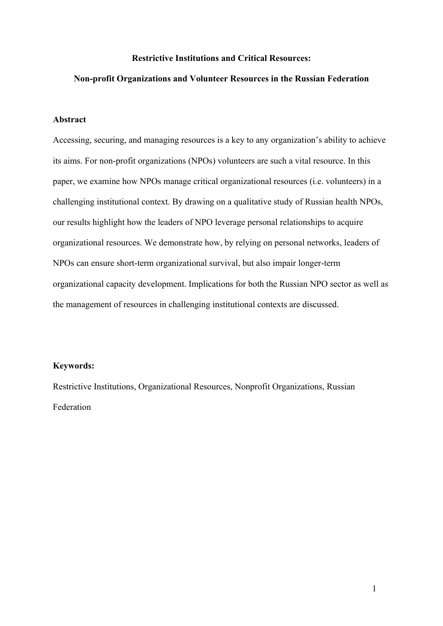## **Restrictive Institutions and Critical Resources:**

#### **Non-profit Organizations and Volunteer Resources in the Russian Federation**

## **Abstract**

Accessing, securing, and managing resources is a key to any organization's ability to achieve its aims. For non-profit organizations (NPOs) volunteers are such a vital resource. In this paper, we examine how NPOs manage critical organizational resources (i.e. volunteers) in a challenging institutional context. By drawing on a qualitative study of Russian health NPOs, our results highlight how the leaders of NPO leverage personal relationships to acquire organizational resources. We demonstrate how, by relying on personal networks, leaders of NPOs can ensure short-term organizational survival, but also impair longer-term organizational capacity development. Implications for both the Russian NPO sector as well as the management of resources in challenging institutional contexts are discussed.

# **Keywords:**

Restrictive Institutions, Organizational Resources, Nonprofit Organizations, Russian Federation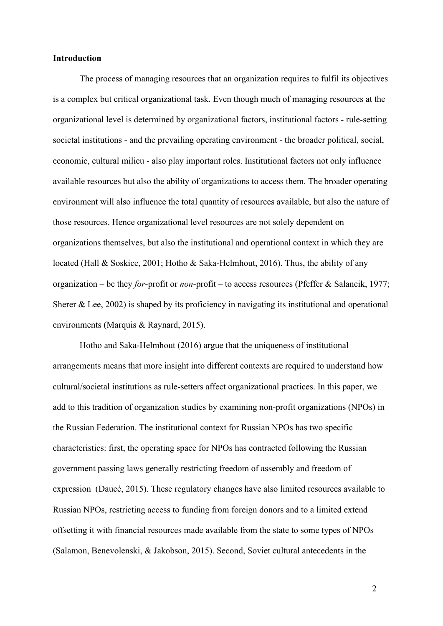#### **Introduction**

The process of managing resources that an organization requires to fulfil its objectives is a complex but critical organizational task. Even though much of managing resources at the organizational level is determined by organizational factors, institutional factors - rule-setting societal institutions - and the prevailing operating environment - the broader political, social, economic, cultural milieu - also play important roles. Institutional factors not only influence available resources but also the ability of organizations to access them. The broader operating environment will also influence the total quantity of resources available, but also the nature of those resources. Hence organizational level resources are not solely dependent on organizations themselves, but also the institutional and operational context in which they are located (Hall & Soskice, 2001; Hotho & Saka-Helmhout, 2016). Thus, the ability of any organization – be they *for*-profit or *non*-profit – to access resources (Pfeffer & Salancik, 1977; Sherer  $\&$  Lee, 2002) is shaped by its proficiency in navigating its institutional and operational environments (Marquis & Raynard, 2015).

Hotho and Saka-Helmhout (2016) argue that the uniqueness of institutional arrangements means that more insight into different contexts are required to understand how cultural/societal institutions as rule-setters affect organizational practices. In this paper, we add to this tradition of organization studies by examining non-profit organizations (NPOs) in the Russian Federation. The institutional context for Russian NPOs has two specific characteristics: first, the operating space for NPOs has contracted following the Russian government passing laws generally restricting freedom of assembly and freedom of expression (Daucé, 2015). These regulatory changes have also limited resources available to Russian NPOs, restricting access to funding from foreign donors and to a limited extend offsetting it with financial resources made available from the state to some types of NPOs (Salamon, Benevolenski, & Jakobson, 2015). Second, Soviet cultural antecedents in the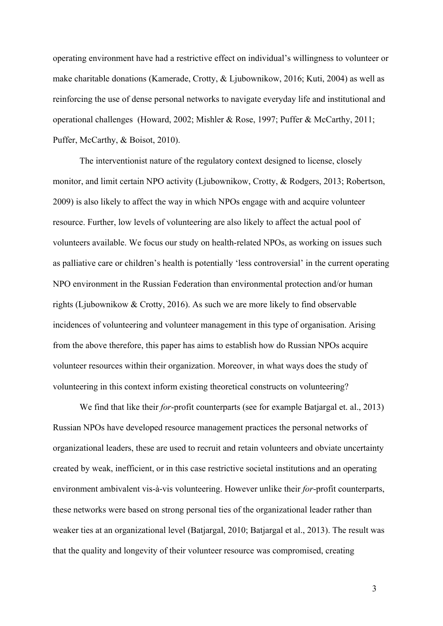operating environment have had a restrictive effect on individual's willingness to volunteer or make charitable donations (Kamerade, Crotty, & Ljubownikow, 2016; Kuti, 2004) as well as reinforcing the use of dense personal networks to navigate everyday life and institutional and operational challenges (Howard, 2002; Mishler & Rose, 1997; Puffer & McCarthy, 2011; Puffer, McCarthy, & Boisot, 2010).

The interventionist nature of the regulatory context designed to license, closely monitor, and limit certain NPO activity (Ljubownikow, Crotty, & Rodgers, 2013; Robertson, 2009) is also likely to affect the way in which NPOs engage with and acquire volunteer resource. Further, low levels of volunteering are also likely to affect the actual pool of volunteers available. We focus our study on health-related NPOs, as working on issues such as palliative care or children's health is potentially 'less controversial' in the current operating NPO environment in the Russian Federation than environmental protection and/or human rights (Ljubownikow & Crotty, 2016). As such we are more likely to find observable incidences of volunteering and volunteer management in this type of organisation. Arising from the above therefore, this paper has aims to establish how do Russian NPOs acquire volunteer resources within their organization. Moreover, in what ways does the study of volunteering in this context inform existing theoretical constructs on volunteering?

We find that like their *for*-profit counterparts (see for example Batjargal et. al., 2013) Russian NPOs have developed resource management practices the personal networks of organizational leaders, these are used to recruit and retain volunteers and obviate uncertainty created by weak, inefficient, or in this case restrictive societal institutions and an operating environment ambivalent vis-à-vis volunteering. However unlike their *for*-profit counterparts, these networks were based on strong personal ties of the organizational leader rather than weaker ties at an organizational level (Batjargal, 2010; Batjargal et al., 2013). The result was that the quality and longevity of their volunteer resource was compromised, creating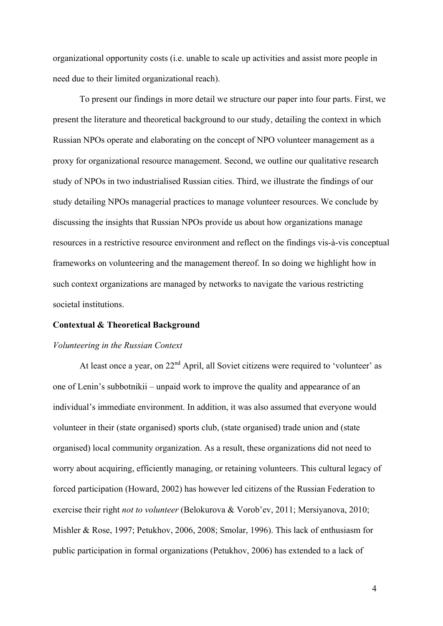organizational opportunity costs (i.e. unable to scale up activities and assist more people in need due to their limited organizational reach).

To present our findings in more detail we structure our paper into four parts. First, we present the literature and theoretical background to our study, detailing the context in which Russian NPOs operate and elaborating on the concept of NPO volunteer management as a proxy for organizational resource management. Second, we outline our qualitative research study of NPOs in two industrialised Russian cities. Third, we illustrate the findings of our study detailing NPOs managerial practices to manage volunteer resources. We conclude by discussing the insights that Russian NPOs provide us about how organizations manage resources in a restrictive resource environment and reflect on the findings vis-à-vis conceptual frameworks on volunteering and the management thereof. In so doing we highlight how in such context organizations are managed by networks to navigate the various restricting societal institutions.

#### **Contextual & Theoretical Background**

#### *Volunteering in the Russian Context*

At least once a year, on 22<sup>nd</sup> April, all Soviet citizens were required to 'volunteer' as one of Lenin's subbotnikii – unpaid work to improve the quality and appearance of an individual's immediate environment. In addition, it was also assumed that everyone would volunteer in their (state organised) sports club, (state organised) trade union and (state organised) local community organization. As a result, these organizations did not need to worry about acquiring, efficiently managing, or retaining volunteers. This cultural legacy of forced participation (Howard, 2002) has however led citizens of the Russian Federation to exercise their right *not to volunteer* (Belokurova & Vorob'ev, 2011; Mersiyanova, 2010; Mishler & Rose, 1997; Petukhov, 2006, 2008; Smolar, 1996). This lack of enthusiasm for public participation in formal organizations (Petukhov, 2006) has extended to a lack of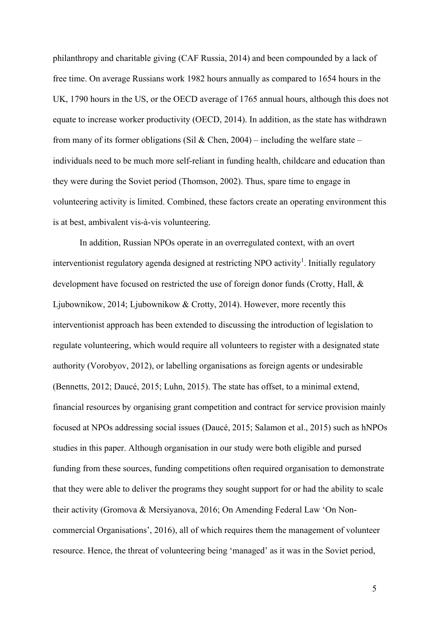philanthropy and charitable giving (CAF Russia, 2014) and been compounded by a lack of free time. On average Russians work 1982 hours annually as compared to 1654 hours in the UK, 1790 hours in the US, or the OECD average of 1765 annual hours, although this does not equate to increase worker productivity (OECD, 2014). In addition, as the state has withdrawn from many of its former obligations (Sil & Chen, 2004) – including the welfare state – individuals need to be much more self-reliant in funding health, childcare and education than they were during the Soviet period (Thomson, 2002). Thus, spare time to engage in volunteering activity is limited. Combined, these factors create an operating environment this is at best, ambivalent vis-à-vis volunteering.

In addition, Russian NPOs operate in an overregulated context, with an overt interventionist regulatory agenda designed at restricting NPO activity<sup>1</sup>. Initially regulatory development have focused on restricted the use of foreign donor funds (Crotty, Hall, & Ljubownikow, 2014; Ljubownikow & Crotty, 2014). However, more recently this interventionist approach has been extended to discussing the introduction of legislation to regulate volunteering, which would require all volunteers to register with a designated state authority (Vorobyov, 2012), or labelling organisations as foreign agents or undesirable (Bennetts, 2012; Daucé, 2015; Luhn, 2015). The state has offset, to a minimal extend, financial resources by organising grant competition and contract for service provision mainly focused at NPOs addressing social issues (Daucé, 2015; Salamon et al., 2015) such as hNPOs studies in this paper. Although organisation in our study were both eligible and pursed funding from these sources, funding competitions often required organisation to demonstrate that they were able to deliver the programs they sought support for or had the ability to scale their activity (Gromova & Mersiyanova, 2016; On Amending Federal Law 'On Noncommercial Organisations', 2016), all of which requires them the management of volunteer resource. Hence, the threat of volunteering being 'managed' as it was in the Soviet period,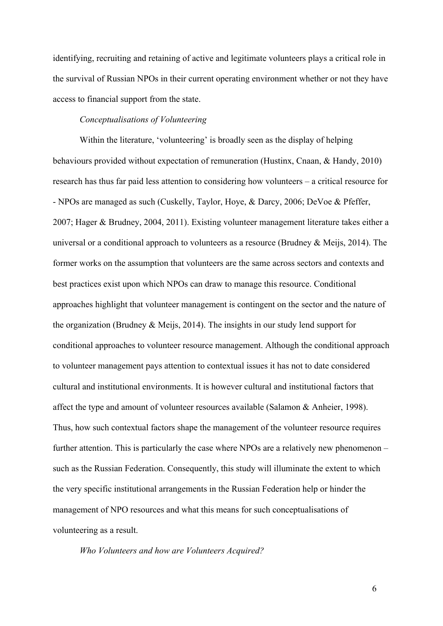identifying, recruiting and retaining of active and legitimate volunteers plays a critical role in the survival of Russian NPOs in their current operating environment whether or not they have access to financial support from the state.

# *Conceptualisations of Volunteering*

Within the literature, 'volunteering' is broadly seen as the display of helping behaviours provided without expectation of remuneration (Hustinx, Cnaan, & Handy, 2010) research has thus far paid less attention to considering how volunteers – a critical resource for - NPOs are managed as such (Cuskelly, Taylor, Hoye, & Darcy, 2006; DeVoe & Pfeffer, 2007; Hager & Brudney, 2004, 2011). Existing volunteer management literature takes either a universal or a conditional approach to volunteers as a resource (Brudney & Meijs, 2014). The former works on the assumption that volunteers are the same across sectors and contexts and best practices exist upon which NPOs can draw to manage this resource. Conditional approaches highlight that volunteer management is contingent on the sector and the nature of the organization (Brudney & Meijs, 2014). The insights in our study lend support for conditional approaches to volunteer resource management. Although the conditional approach to volunteer management pays attention to contextual issues it has not to date considered cultural and institutional environments. It is however cultural and institutional factors that affect the type and amount of volunteer resources available (Salamon & Anheier, 1998). Thus, how such contextual factors shape the management of the volunteer resource requires further attention. This is particularly the case where NPOs are a relatively new phenomenon – such as the Russian Federation. Consequently, this study will illuminate the extent to which the very specific institutional arrangements in the Russian Federation help or hinder the management of NPO resources and what this means for such conceptualisations of volunteering as a result.

*Who Volunteers and how are Volunteers Acquired?*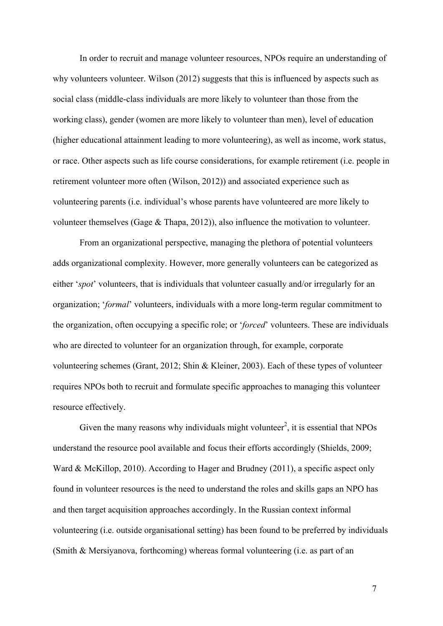In order to recruit and manage volunteer resources, NPOs require an understanding of why volunteers volunteer. Wilson (2012) suggests that this is influenced by aspects such as social class (middle-class individuals are more likely to volunteer than those from the working class), gender (women are more likely to volunteer than men), level of education (higher educational attainment leading to more volunteering), as well as income, work status, or race. Other aspects such as life course considerations, for example retirement (i.e. people in retirement volunteer more often (Wilson, 2012)) and associated experience such as volunteering parents (i.e. individual's whose parents have volunteered are more likely to volunteer themselves (Gage & Thapa, 2012)), also influence the motivation to volunteer.

From an organizational perspective, managing the plethora of potential volunteers adds organizational complexity. However, more generally volunteers can be categorized as either '*spot*' volunteers, that is individuals that volunteer casually and/or irregularly for an organization; '*formal*' volunteers, individuals with a more long-term regular commitment to the organization, often occupying a specific role; or '*forced*' volunteers. These are individuals who are directed to volunteer for an organization through, for example, corporate volunteering schemes (Grant, 2012; Shin & Kleiner, 2003). Each of these types of volunteer requires NPOs both to recruit and formulate specific approaches to managing this volunteer resource effectively.

Given the many reasons why individuals might volunteer<sup>2</sup>, it is essential that NPOs understand the resource pool available and focus their efforts accordingly (Shields, 2009; Ward & McKillop, 2010). According to Hager and Brudney (2011), a specific aspect only found in volunteer resources is the need to understand the roles and skills gaps an NPO has and then target acquisition approaches accordingly. In the Russian context informal volunteering (i.e. outside organisational setting) has been found to be preferred by individuals (Smith & Mersiyanova, forthcoming) whereas formal volunteering (i.e. as part of an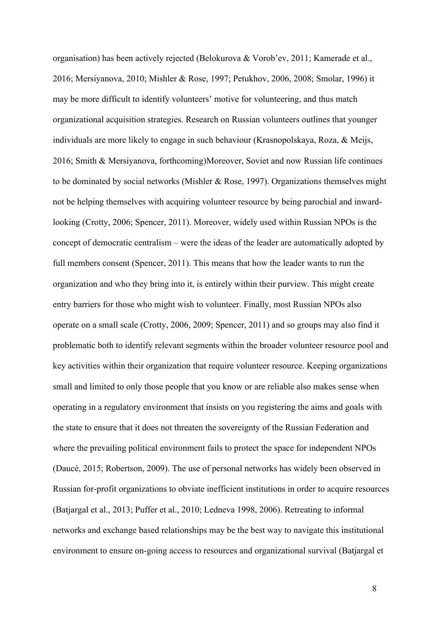organisation) has been actively rejected (Belokurova & Vorob'ev, 2011; Kamerade et al., 2016; Mersiyanova, 2010; Mishler & Rose, 1997; Petukhov, 2006, 2008; Smolar, 1996) it may be more difficult to identify volunteers' motive for volunteering, and thus match organizational acquisition strategies. Research on Russian volunteers outlines that younger individuals are more likely to engage in such behaviour (Krasnopolskaya, Roza, & Meijs, 2016; Smith & Mersiyanova, forthcoming)Moreover, Soviet and now Russian life continues to be dominated by social networks (Mishler & Rose, 1997). Organizations themselves might not be helping themselves with acquiring volunteer resource by being parochial and inwardlooking (Crotty, 2006; Spencer, 2011). Moreover, widely used within Russian NPOs is the concept of democratic centralism – were the ideas of the leader are automatically adopted by full members consent (Spencer, 2011). This means that how the leader wants to run the organization and who they bring into it, is entirely within their purview. This might create entry barriers for those who might wish to volunteer. Finally, most Russian NPOs also operate on a small scale (Crotty, 2006, 2009; Spencer, 2011) and so groups may also find it problematic both to identify relevant segments within the broader volunteer resource pool and key activities within their organization that require volunteer resource. Keeping organizations small and limited to only those people that you know or are reliable also makes sense when operating in a regulatory environment that insists on you registering the aims and goals with the state to ensure that it does not threaten the sovereignty of the Russian Federation and where the prevailing political environment fails to protect the space for independent NPOs (Daucé, 2015; Robertson, 2009). The use of personal networks has widely been observed in Russian for-profit organizations to obviate inefficient institutions in order to acquire resources (Batjargal et al., 2013; Puffer et al., 2010; Ledneva 1998, 2006). Retreating to informal networks and exchange based relationships may be the best way to navigate this institutional environment to ensure on-going access to resources and organizational survival (Batjargal et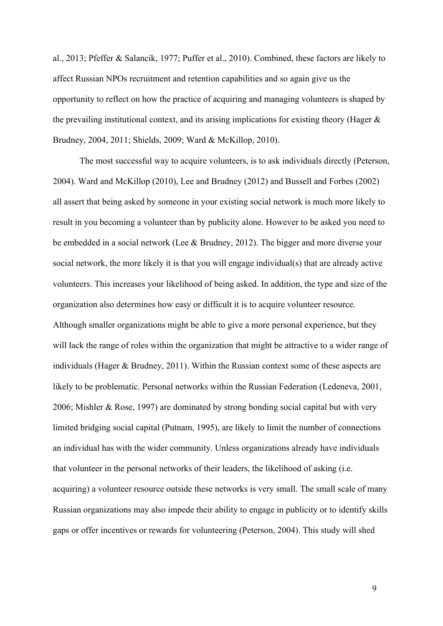al., 2013; Pfeffer & Salancik, 1977; Puffer et al., 2010). Combined, these factors are likely to affect Russian NPOs recruitment and retention capabilities and so again give us the opportunity to reflect on how the practice of acquiring and managing volunteers is shaped by the prevailing institutional context, and its arising implications for existing theory (Hager  $\&$ Brudney, 2004, 2011; Shields, 2009; Ward & McKillop, 2010).

The most successful way to acquire volunteers, is to ask individuals directly (Peterson, 2004). Ward and McKillop (2010), Lee and Brudney (2012) and Bussell and Forbes (2002) all assert that being asked by someone in your existing social network is much more likely to result in you becoming a volunteer than by publicity alone. However to be asked you need to be embedded in a social network (Lee & Brudney, 2012). The bigger and more diverse your social network, the more likely it is that you will engage individual(s) that are already active volunteers. This increases your likelihood of being asked. In addition, the type and size of the organization also determines how easy or difficult it is to acquire volunteer resource. Although smaller organizations might be able to give a more personal experience, but they will lack the range of roles within the organization that might be attractive to a wider range of individuals (Hager & Brudney, 2011). Within the Russian context some of these aspects are likely to be problematic. Personal networks within the Russian Federation (Ledeneva, 2001, 2006; Mishler & Rose, 1997) are dominated by strong bonding social capital but with very limited bridging social capital (Putnam, 1995), are likely to limit the number of connections an individual has with the wider community. Unless organizations already have individuals that volunteer in the personal networks of their leaders, the likelihood of asking (i.e. acquiring) a volunteer resource outside these networks is very small. The small scale of many Russian organizations may also impede their ability to engage in publicity or to identify skills gaps or offer incentives or rewards for volunteering (Peterson, 2004). This study will shed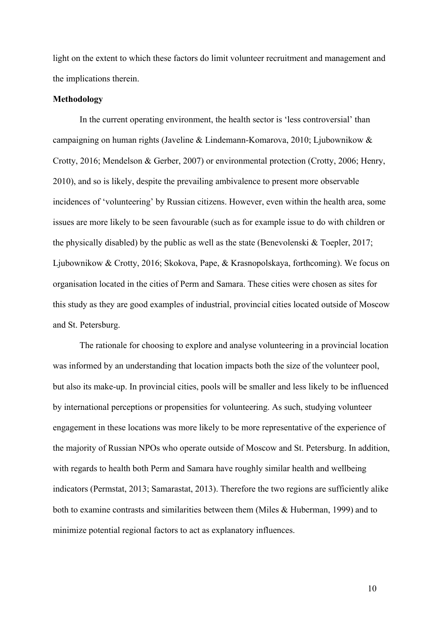light on the extent to which these factors do limit volunteer recruitment and management and the implications therein.

#### **Methodology**

In the current operating environment, the health sector is 'less controversial' than campaigning on human rights (Javeline & Lindemann-Komarova, 2010; Ljubownikow & Crotty, 2016; Mendelson & Gerber, 2007) or environmental protection (Crotty, 2006; Henry, 2010), and so is likely, despite the prevailing ambivalence to present more observable incidences of 'volunteering' by Russian citizens. However, even within the health area, some issues are more likely to be seen favourable (such as for example issue to do with children or the physically disabled) by the public as well as the state (Benevolenski & Toepler, 2017; Ljubownikow & Crotty, 2016; Skokova, Pape, & Krasnopolskaya, forthcoming). We focus on organisation located in the cities of Perm and Samara. These cities were chosen as sites for this study as they are good examples of industrial, provincial cities located outside of Moscow and St. Petersburg.

The rationale for choosing to explore and analyse volunteering in a provincial location was informed by an understanding that location impacts both the size of the volunteer pool, but also its make-up. In provincial cities, pools will be smaller and less likely to be influenced by international perceptions or propensities for volunteering. As such, studying volunteer engagement in these locations was more likely to be more representative of the experience of the majority of Russian NPOs who operate outside of Moscow and St. Petersburg. In addition, with regards to health both Perm and Samara have roughly similar health and wellbeing indicators (Permstat, 2013; Samarastat, 2013). Therefore the two regions are sufficiently alike both to examine contrasts and similarities between them (Miles & Huberman, 1999) and to minimize potential regional factors to act as explanatory influences.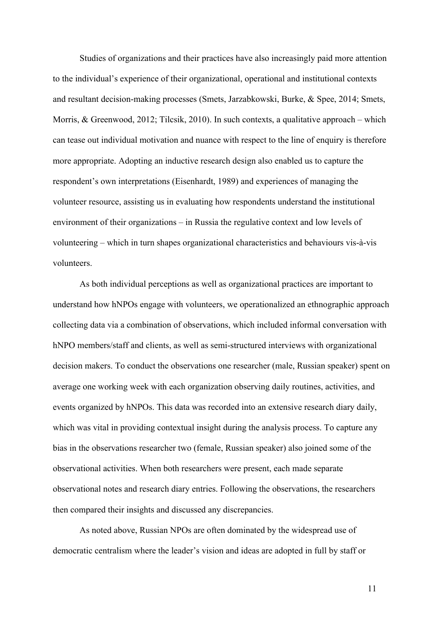Studies of organizations and their practices have also increasingly paid more attention to the individual's experience of their organizational, operational and institutional contexts and resultant decision-making processes (Smets, Jarzabkowski, Burke, & Spee, 2014; Smets, Morris, & Greenwood, 2012; Tilcsik, 2010). In such contexts, a qualitative approach – which can tease out individual motivation and nuance with respect to the line of enquiry is therefore more appropriate. Adopting an inductive research design also enabled us to capture the respondent's own interpretations (Eisenhardt, 1989) and experiences of managing the volunteer resource, assisting us in evaluating how respondents understand the institutional environment of their organizations – in Russia the regulative context and low levels of volunteering – which in turn shapes organizational characteristics and behaviours vis-à-vis volunteers.

As both individual perceptions as well as organizational practices are important to understand how hNPOs engage with volunteers, we operationalized an ethnographic approach collecting data via a combination of observations, which included informal conversation with hNPO members/staff and clients, as well as semi-structured interviews with organizational decision makers. To conduct the observations one researcher (male, Russian speaker) spent on average one working week with each organization observing daily routines, activities, and events organized by hNPOs. This data was recorded into an extensive research diary daily, which was vital in providing contextual insight during the analysis process. To capture any bias in the observations researcher two (female, Russian speaker) also joined some of the observational activities. When both researchers were present, each made separate observational notes and research diary entries. Following the observations, the researchers then compared their insights and discussed any discrepancies.

As noted above, Russian NPOs are often dominated by the widespread use of democratic centralism where the leader's vision and ideas are adopted in full by staff or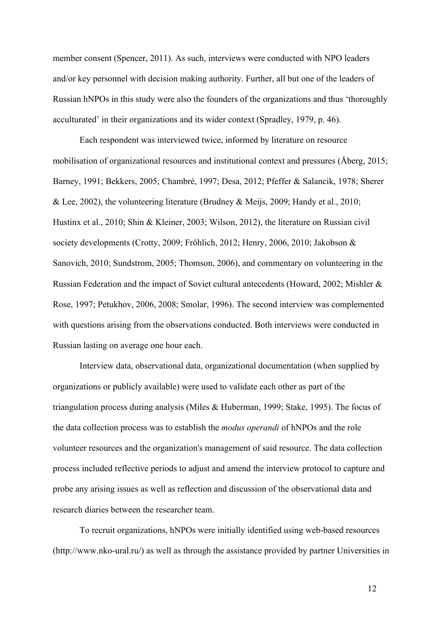member consent (Spencer, 2011). As such, interviews were conducted with NPO leaders and/or key personnel with decision making authority. Further, all but one of the leaders of Russian hNPOs in this study were also the founders of the organizations and thus 'thoroughly acculturated' in their organizations and its wider context (Spradley, 1979, p. 46).

Each respondent was interviewed twice, informed by literature on resource mobilisation of organizational resources and institutional context and pressures (Åberg, 2015; Barney, 1991; Bekkers, 2005; Chambré, 1997; Desa, 2012; Pfeffer & Salancik, 1978; Sherer & Lee, 2002), the volunteering literature (Brudney & Meijs, 2009; Handy et al., 2010; Hustinx et al., 2010; Shin & Kleiner, 2003; Wilson, 2012), the literature on Russian civil society developments (Crotty, 2009; Fröhlich, 2012; Henry, 2006, 2010; Jakobson & Sanovich, 2010; Sundstrom, 2005; Thomson, 2006), and commentary on volunteering in the Russian Federation and the impact of Soviet cultural antecedents (Howard, 2002; Mishler & Rose, 1997; Petukhov, 2006, 2008; Smolar, 1996). The second interview was complemented with questions arising from the observations conducted. Both interviews were conducted in Russian lasting on average one hour each.

Interview data, observational data, organizational documentation (when supplied by organizations or publicly available) were used to validate each other as part of the triangulation process during analysis (Miles & Huberman, 1999; Stake, 1995). The focus of the data collection process was to establish the *modus operandi* of hNPOs and the role volunteer resources and the organization's management of said resource. The data collection process included reflective periods to adjust and amend the interview protocol to capture and probe any arising issues as well as reflection and discussion of the observational data and research diaries between the researcher team.

To recruit organizations, hNPOs were initially identified using web-based resources (http://www.nko-ural.ru/) as well as through the assistance provided by partner Universities in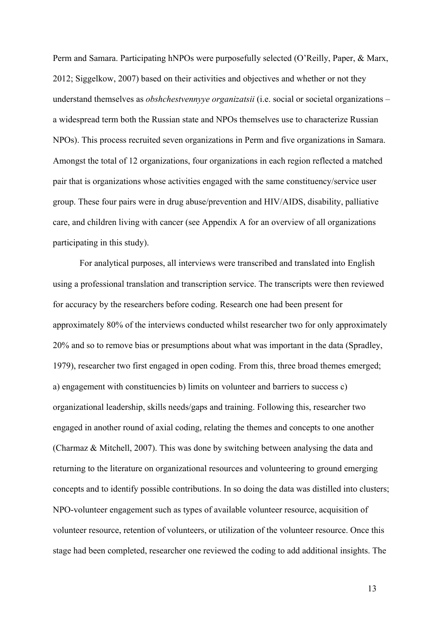Perm and Samara. Participating hNPOs were purposefully selected (O'Reilly, Paper, & Marx, 2012; Siggelkow, 2007) based on their activities and objectives and whether or not they understand themselves as *obshchestvennyye organizatsii* (i.e. social or societal organizations – a widespread term both the Russian state and NPOs themselves use to characterize Russian NPOs). This process recruited seven organizations in Perm and five organizations in Samara. Amongst the total of 12 organizations, four organizations in each region reflected a matched pair that is organizations whose activities engaged with the same constituency/service user group. These four pairs were in drug abuse/prevention and HIV/AIDS, disability, palliative care, and children living with cancer (see Appendix A for an overview of all organizations participating in this study).

For analytical purposes, all interviews were transcribed and translated into English using a professional translation and transcription service. The transcripts were then reviewed for accuracy by the researchers before coding. Research one had been present for approximately 80% of the interviews conducted whilst researcher two for only approximately 20% and so to remove bias or presumptions about what was important in the data (Spradley, 1979), researcher two first engaged in open coding. From this, three broad themes emerged; a) engagement with constituencies b) limits on volunteer and barriers to success c) organizational leadership, skills needs/gaps and training. Following this, researcher two engaged in another round of axial coding, relating the themes and concepts to one another (Charmaz & Mitchell, 2007). This was done by switching between analysing the data and returning to the literature on organizational resources and volunteering to ground emerging concepts and to identify possible contributions. In so doing the data was distilled into clusters; NPO-volunteer engagement such as types of available volunteer resource, acquisition of volunteer resource, retention of volunteers, or utilization of the volunteer resource. Once this stage had been completed, researcher one reviewed the coding to add additional insights. The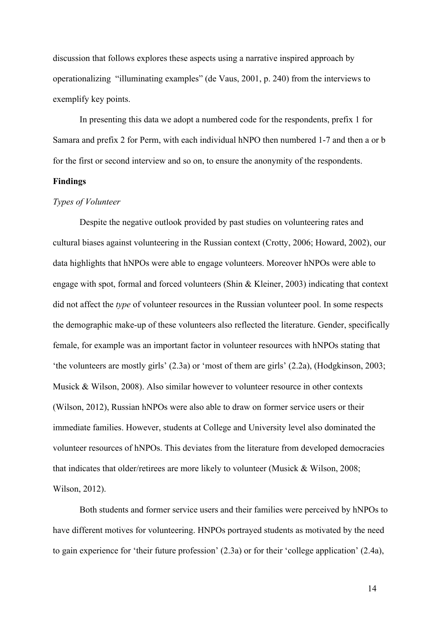discussion that follows explores these aspects using a narrative inspired approach by operationalizing "illuminating examples" (de Vaus, 2001, p. 240) from the interviews to exemplify key points.

In presenting this data we adopt a numbered code for the respondents, prefix 1 for Samara and prefix 2 for Perm, with each individual hNPO then numbered 1-7 and then a or b for the first or second interview and so on, to ensure the anonymity of the respondents.

#### **Findings**

#### *Types of Volunteer*

Despite the negative outlook provided by past studies on volunteering rates and cultural biases against volunteering in the Russian context (Crotty, 2006; Howard, 2002), our data highlights that hNPOs were able to engage volunteers. Moreover hNPOs were able to engage with spot, formal and forced volunteers (Shin & Kleiner, 2003) indicating that context did not affect the *type* of volunteer resources in the Russian volunteer pool. In some respects the demographic make-up of these volunteers also reflected the literature. Gender, specifically female, for example was an important factor in volunteer resources with hNPOs stating that 'the volunteers are mostly girls' (2.3a) or 'most of them are girls' (2.2a), (Hodgkinson, 2003; Musick & Wilson, 2008). Also similar however to volunteer resource in other contexts (Wilson, 2012), Russian hNPOs were also able to draw on former service users or their immediate families. However, students at College and University level also dominated the volunteer resources of hNPOs. This deviates from the literature from developed democracies that indicates that older/retirees are more likely to volunteer (Musick & Wilson, 2008; Wilson, 2012).

Both students and former service users and their families were perceived by hNPOs to have different motives for volunteering. HNPOs portrayed students as motivated by the need to gain experience for 'their future profession' (2.3a) or for their 'college application' (2.4a),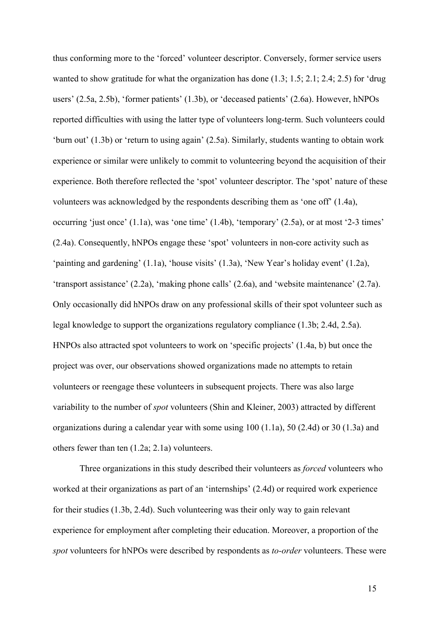thus conforming more to the 'forced' volunteer descriptor. Conversely, former service users wanted to show gratitude for what the organization has done (1.3; 1.5; 2.1; 2.4; 2.5) for 'drug users' (2.5a, 2.5b), 'former patients' (1.3b), or 'deceased patients' (2.6a). However, hNPOs reported difficulties with using the latter type of volunteers long-term. Such volunteers could 'burn out' (1.3b) or 'return to using again' (2.5a). Similarly, students wanting to obtain work experience or similar were unlikely to commit to volunteering beyond the acquisition of their experience. Both therefore reflected the 'spot' volunteer descriptor. The 'spot' nature of these volunteers was acknowledged by the respondents describing them as 'one off' (1.4a), occurring 'just once' (1.1a), was 'one time' (1.4b), 'temporary' (2.5a), or at most '2-3 times' (2.4a). Consequently, hNPOs engage these 'spot' volunteers in non-core activity such as 'painting and gardening' (1.1a), 'house visits' (1.3a), 'New Year's holiday event' (1.2a), 'transport assistance' (2.2a), 'making phone calls' (2.6a), and 'website maintenance' (2.7a). Only occasionally did hNPOs draw on any professional skills of their spot volunteer such as legal knowledge to support the organizations regulatory compliance (1.3b; 2.4d, 2.5a). HNPOs also attracted spot volunteers to work on 'specific projects' (1.4a, b) but once the project was over, our observations showed organizations made no attempts to retain volunteers or reengage these volunteers in subsequent projects. There was also large variability to the number of *spot* volunteers (Shin and Kleiner, 2003) attracted by different organizations during a calendar year with some using 100 (1.1a), 50 (2.4d) or 30 (1.3a) and others fewer than ten (1.2a; 2.1a) volunteers.

Three organizations in this study described their volunteers as *forced* volunteers who worked at their organizations as part of an 'internships' (2.4d) or required work experience for their studies (1.3b, 2.4d). Such volunteering was their only way to gain relevant experience for employment after completing their education. Moreover, a proportion of the *spot* volunteers for hNPOs were described by respondents as *to-order* volunteers. These were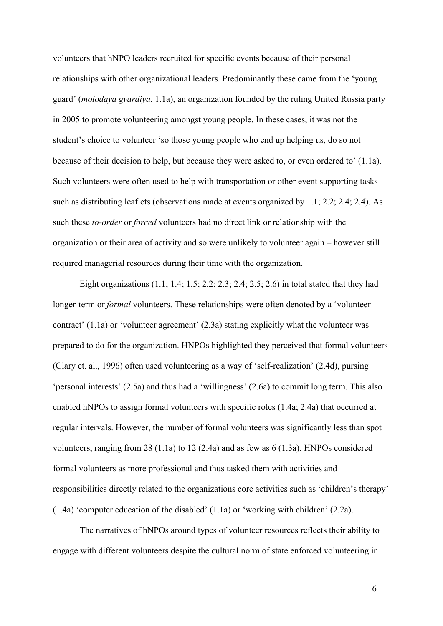volunteers that hNPO leaders recruited for specific events because of their personal relationships with other organizational leaders. Predominantly these came from the 'young guard' (*molodaya gvardiya*, 1.1a), an organization founded by the ruling United Russia party in 2005 to promote volunteering amongst young people. In these cases, it was not the student's choice to volunteer 'so those young people who end up helping us, do so not because of their decision to help, but because they were asked to, or even ordered to' (1.1a). Such volunteers were often used to help with transportation or other event supporting tasks such as distributing leaflets (observations made at events organized by 1.1; 2.2; 2.4; 2.4). As such these *to-order* or *forced* volunteers had no direct link or relationship with the organization or their area of activity and so were unlikely to volunteer again – however still required managerial resources during their time with the organization.

Eight organizations (1.1; 1.4; 1.5; 2.2; 2.3; 2.4; 2.5; 2.6) in total stated that they had longer-term or *formal* volunteers. These relationships were often denoted by a 'volunteer contract' (1.1a) or 'volunteer agreement' (2.3a) stating explicitly what the volunteer was prepared to do for the organization. HNPOs highlighted they perceived that formal volunteers (Clary et. al., 1996) often used volunteering as a way of 'self-realization' (2.4d), pursing 'personal interests' (2.5a) and thus had a 'willingness' (2.6a) to commit long term. This also enabled hNPOs to assign formal volunteers with specific roles (1.4a; 2.4a) that occurred at regular intervals. However, the number of formal volunteers was significantly less than spot volunteers, ranging from 28 (1.1a) to 12 (2.4a) and as few as 6 (1.3a). HNPOs considered formal volunteers as more professional and thus tasked them with activities and responsibilities directly related to the organizations core activities such as 'children's therapy' (1.4a) 'computer education of the disabled' (1.1a) or 'working with children' (2.2a).

The narratives of hNPOs around types of volunteer resources reflects their ability to engage with different volunteers despite the cultural norm of state enforced volunteering in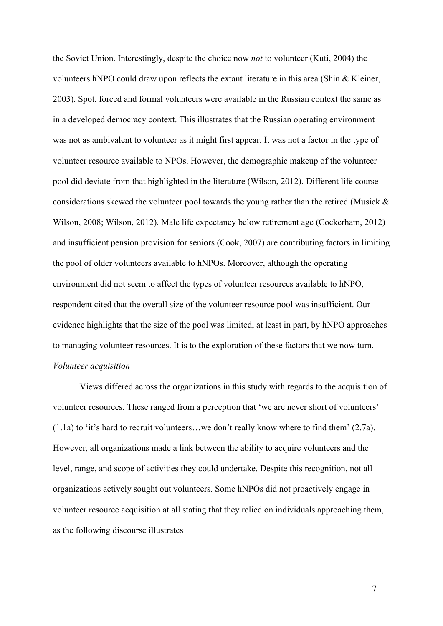the Soviet Union. Interestingly, despite the choice now *not* to volunteer (Kuti, 2004) the volunteers hNPO could draw upon reflects the extant literature in this area (Shin & Kleiner, 2003). Spot, forced and formal volunteers were available in the Russian context the same as in a developed democracy context. This illustrates that the Russian operating environment was not as ambivalent to volunteer as it might first appear. It was not a factor in the type of volunteer resource available to NPOs. However, the demographic makeup of the volunteer pool did deviate from that highlighted in the literature (Wilson, 2012). Different life course considerations skewed the volunteer pool towards the young rather than the retired (Musick & Wilson, 2008; Wilson, 2012). Male life expectancy below retirement age (Cockerham, 2012) and insufficient pension provision for seniors (Cook, 2007) are contributing factors in limiting the pool of older volunteers available to hNPOs. Moreover, although the operating environment did not seem to affect the types of volunteer resources available to hNPO, respondent cited that the overall size of the volunteer resource pool was insufficient. Our evidence highlights that the size of the pool was limited, at least in part, by hNPO approaches to managing volunteer resources. It is to the exploration of these factors that we now turn. *Volunteer acquisition*

Views differed across the organizations in this study with regards to the acquisition of volunteer resources. These ranged from a perception that 'we are never short of volunteers' (1.1a) to 'it's hard to recruit volunteers…we don't really know where to find them' (2.7a). However, all organizations made a link between the ability to acquire volunteers and the level, range, and scope of activities they could undertake. Despite this recognition, not all organizations actively sought out volunteers. Some hNPOs did not proactively engage in volunteer resource acquisition at all stating that they relied on individuals approaching them, as the following discourse illustrates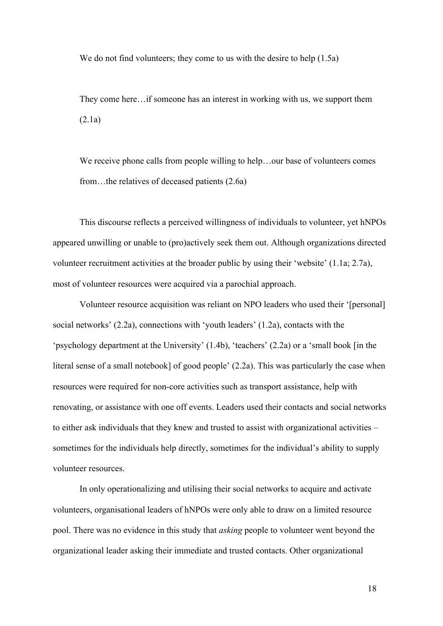We do not find volunteers; they come to us with the desire to help  $(1.5a)$ 

They come here…if someone has an interest in working with us, we support them (2.1a)

We receive phone calls from people willing to help…our base of volunteers comes from…the relatives of deceased patients (2.6a)

This discourse reflects a perceived willingness of individuals to volunteer, yet hNPOs appeared unwilling or unable to (pro)actively seek them out. Although organizations directed volunteer recruitment activities at the broader public by using their 'website' (1.1a; 2.7a), most of volunteer resources were acquired via a parochial approach.

Volunteer resource acquisition was reliant on NPO leaders who used their '[personal] social networks' (2.2a), connections with 'youth leaders' (1.2a), contacts with the 'psychology department at the University' (1.4b), 'teachers' (2.2a) or a 'small book [in the literal sense of a small notebook] of good people' (2.2a). This was particularly the case when resources were required for non-core activities such as transport assistance, help with renovating, or assistance with one off events. Leaders used their contacts and social networks to either ask individuals that they knew and trusted to assist with organizational activities – sometimes for the individuals help directly, sometimes for the individual's ability to supply volunteer resources.

In only operationalizing and utilising their social networks to acquire and activate volunteers, organisational leaders of hNPOs were only able to draw on a limited resource pool. There was no evidence in this study that *asking* people to volunteer went beyond the organizational leader asking their immediate and trusted contacts. Other organizational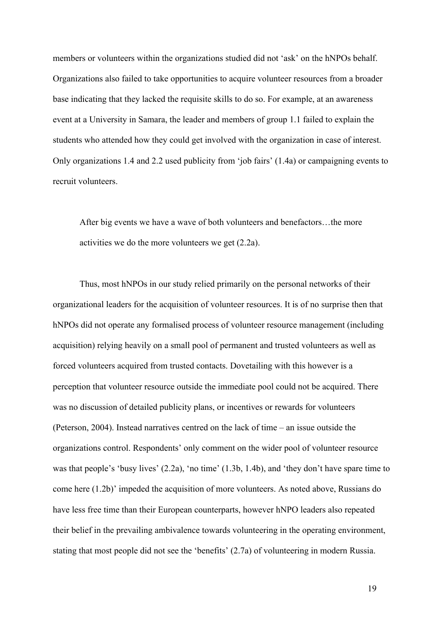members or volunteers within the organizations studied did not 'ask' on the hNPOs behalf. Organizations also failed to take opportunities to acquire volunteer resources from a broader base indicating that they lacked the requisite skills to do so. For example, at an awareness event at a University in Samara, the leader and members of group 1.1 failed to explain the students who attended how they could get involved with the organization in case of interest. Only organizations 1.4 and 2.2 used publicity from 'job fairs' (1.4a) or campaigning events to recruit volunteers.

After big events we have a wave of both volunteers and benefactors…the more activities we do the more volunteers we get (2.2a).

Thus, most hNPOs in our study relied primarily on the personal networks of their organizational leaders for the acquisition of volunteer resources. It is of no surprise then that hNPOs did not operate any formalised process of volunteer resource management (including acquisition) relying heavily on a small pool of permanent and trusted volunteers as well as forced volunteers acquired from trusted contacts. Dovetailing with this however is a perception that volunteer resource outside the immediate pool could not be acquired. There was no discussion of detailed publicity plans, or incentives or rewards for volunteers (Peterson, 2004). Instead narratives centred on the lack of time – an issue outside the organizations control. Respondents' only comment on the wider pool of volunteer resource was that people's 'busy lives' (2.2a), 'no time' (1.3b, 1.4b), and 'they don't have spare time to come here (1.2b)' impeded the acquisition of more volunteers. As noted above, Russians do have less free time than their European counterparts, however hNPO leaders also repeated their belief in the prevailing ambivalence towards volunteering in the operating environment, stating that most people did not see the 'benefits' (2.7a) of volunteering in modern Russia.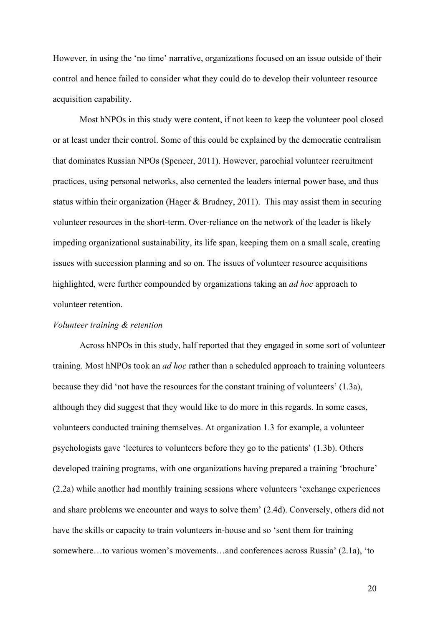However, in using the 'no time' narrative, organizations focused on an issue outside of their control and hence failed to consider what they could do to develop their volunteer resource acquisition capability.

Most hNPOs in this study were content, if not keen to keep the volunteer pool closed or at least under their control. Some of this could be explained by the democratic centralism that dominates Russian NPOs (Spencer, 2011). However, parochial volunteer recruitment practices, using personal networks, also cemented the leaders internal power base, and thus status within their organization (Hager & Brudney, 2011). This may assist them in securing volunteer resources in the short-term. Over-reliance on the network of the leader is likely impeding organizational sustainability, its life span, keeping them on a small scale, creating issues with succession planning and so on. The issues of volunteer resource acquisitions highlighted, were further compounded by organizations taking an *ad hoc* approach to volunteer retention.

#### *Volunteer training & retention*

Across hNPOs in this study, half reported that they engaged in some sort of volunteer training. Most hNPOs took an *ad hoc* rather than a scheduled approach to training volunteers because they did 'not have the resources for the constant training of volunteers' (1.3a), although they did suggest that they would like to do more in this regards. In some cases, volunteers conducted training themselves. At organization 1.3 for example, a volunteer psychologists gave 'lectures to volunteers before they go to the patients' (1.3b). Others developed training programs, with one organizations having prepared a training 'brochure' (2.2a) while another had monthly training sessions where volunteers 'exchange experiences and share problems we encounter and ways to solve them' (2.4d). Conversely, others did not have the skills or capacity to train volunteers in-house and so 'sent them for training somewhere…to various women's movements…and conferences across Russia' (2.1a), 'to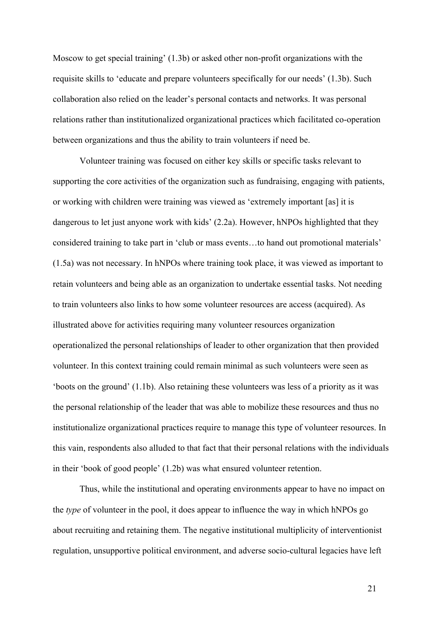Moscow to get special training' (1.3b) or asked other non-profit organizations with the requisite skills to 'educate and prepare volunteers specifically for our needs' (1.3b). Such collaboration also relied on the leader's personal contacts and networks. It was personal relations rather than institutionalized organizational practices which facilitated co-operation between organizations and thus the ability to train volunteers if need be.

Volunteer training was focused on either key skills or specific tasks relevant to supporting the core activities of the organization such as fundraising, engaging with patients, or working with children were training was viewed as 'extremely important [as] it is dangerous to let just anyone work with kids' (2.2a). However, hNPOs highlighted that they considered training to take part in 'club or mass events…to hand out promotional materials' (1.5a) was not necessary. In hNPOs where training took place, it was viewed as important to retain volunteers and being able as an organization to undertake essential tasks. Not needing to train volunteers also links to how some volunteer resources are access (acquired). As illustrated above for activities requiring many volunteer resources organization operationalized the personal relationships of leader to other organization that then provided volunteer. In this context training could remain minimal as such volunteers were seen as 'boots on the ground' (1.1b). Also retaining these volunteers was less of a priority as it was the personal relationship of the leader that was able to mobilize these resources and thus no institutionalize organizational practices require to manage this type of volunteer resources. In this vain, respondents also alluded to that fact that their personal relations with the individuals in their 'book of good people' (1.2b) was what ensured volunteer retention.

Thus, while the institutional and operating environments appear to have no impact on the *type* of volunteer in the pool, it does appear to influence the way in which hNPOs go about recruiting and retaining them. The negative institutional multiplicity of interventionist regulation, unsupportive political environment, and adverse socio-cultural legacies have left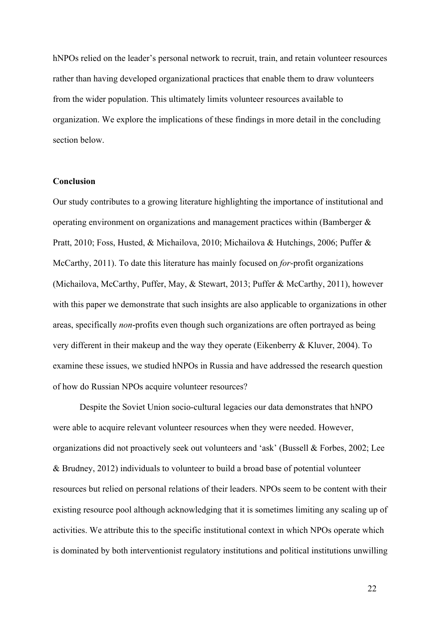hNPOs relied on the leader's personal network to recruit, train, and retain volunteer resources rather than having developed organizational practices that enable them to draw volunteers from the wider population. This ultimately limits volunteer resources available to organization. We explore the implications of these findings in more detail in the concluding section below.

#### **Conclusion**

Our study contributes to a growing literature highlighting the importance of institutional and operating environment on organizations and management practices within (Bamberger & Pratt, 2010; Foss, Husted, & Michailova, 2010; Michailova & Hutchings, 2006; Puffer & McCarthy, 2011). To date this literature has mainly focused on *for*-profit organizations (Michailova, McCarthy, Puffer, May, & Stewart, 2013; Puffer & McCarthy, 2011), however with this paper we demonstrate that such insights are also applicable to organizations in other areas, specifically *non*-profits even though such organizations are often portrayed as being very different in their makeup and the way they operate (Eikenberry & Kluver, 2004). To examine these issues, we studied hNPOs in Russia and have addressed the research question of how do Russian NPOs acquire volunteer resources?

Despite the Soviet Union socio-cultural legacies our data demonstrates that hNPO were able to acquire relevant volunteer resources when they were needed. However, organizations did not proactively seek out volunteers and 'ask' (Bussell & Forbes, 2002; Lee & Brudney, 2012) individuals to volunteer to build a broad base of potential volunteer resources but relied on personal relations of their leaders. NPOs seem to be content with their existing resource pool although acknowledging that it is sometimes limiting any scaling up of activities. We attribute this to the specific institutional context in which NPOs operate which is dominated by both interventionist regulatory institutions and political institutions unwilling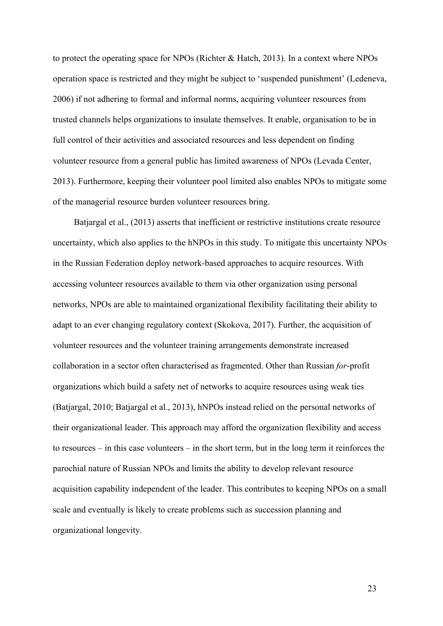to protect the operating space for NPOs (Richter & Hatch, 2013). In a context where NPOs operation space is restricted and they might be subject to 'suspended punishment' (Ledeneva, 2006) if not adhering to formal and informal norms, acquiring volunteer resources from trusted channels helps organizations to insulate themselves. It enable, organisation to be in full control of their activities and associated resources and less dependent on finding volunteer resource from a general public has limited awareness of NPOs (Levada Center, 2013). Furthermore, keeping their volunteer pool limited also enables NPOs to mitigate some of the managerial resource burden volunteer resources bring.

Batjargal et al., (2013) asserts that inefficient or restrictive institutions create resource uncertainty, which also applies to the hNPOs in this study. To mitigate this uncertainty NPOs in the Russian Federation deploy network-based approaches to acquire resources. With accessing volunteer resources available to them via other organization using personal networks, NPOs are able to maintained organizational flexibility facilitating their ability to adapt to an ever changing regulatory context (Skokova, 2017). Further, the acquisition of volunteer resources and the volunteer training arrangements demonstrate increased collaboration in a sector often characterised as fragmented. Other than Russian *for*-profit organizations which build a safety net of networks to acquire resources using weak ties (Batjargal, 2010; Batjargal et al., 2013), hNPOs instead relied on the personal networks of their organizational leader. This approach may afford the organization flexibility and access to resources – in this case volunteers – in the short term, but in the long term it reinforces the parochial nature of Russian NPOs and limits the ability to develop relevant resource acquisition capability independent of the leader. This contributes to keeping NPOs on a small scale and eventually is likely to create problems such as succession planning and organizational longevity.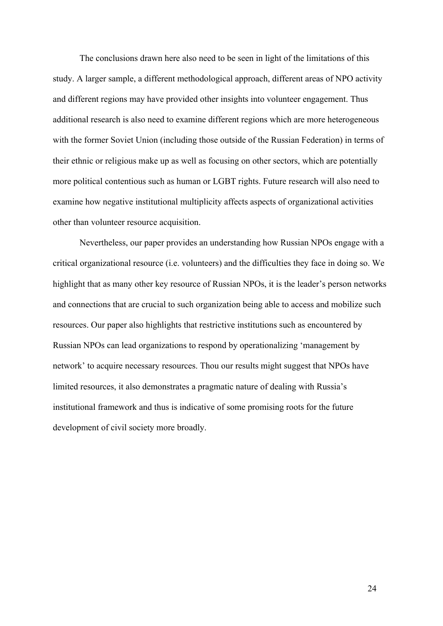The conclusions drawn here also need to be seen in light of the limitations of this study. A larger sample, a different methodological approach, different areas of NPO activity and different regions may have provided other insights into volunteer engagement. Thus additional research is also need to examine different regions which are more heterogeneous with the former Soviet Union (including those outside of the Russian Federation) in terms of their ethnic or religious make up as well as focusing on other sectors, which are potentially more political contentious such as human or LGBT rights. Future research will also need to examine how negative institutional multiplicity affects aspects of organizational activities other than volunteer resource acquisition.

Nevertheless, our paper provides an understanding how Russian NPOs engage with a critical organizational resource (i.e. volunteers) and the difficulties they face in doing so. We highlight that as many other key resource of Russian NPOs, it is the leader's person networks and connections that are crucial to such organization being able to access and mobilize such resources. Our paper also highlights that restrictive institutions such as encountered by Russian NPOs can lead organizations to respond by operationalizing 'management by network' to acquire necessary resources. Thou our results might suggest that NPOs have limited resources, it also demonstrates a pragmatic nature of dealing with Russia's institutional framework and thus is indicative of some promising roots for the future development of civil society more broadly.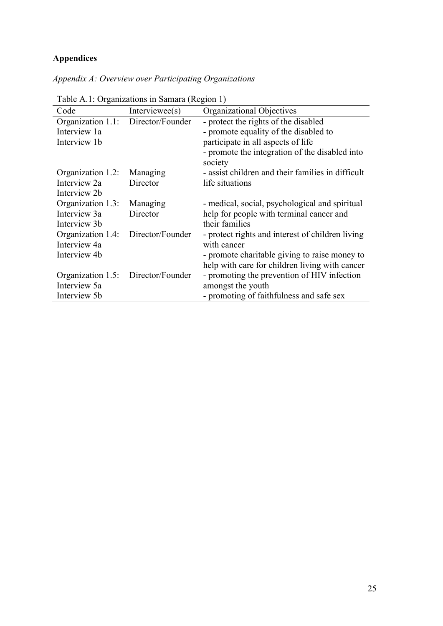# **Appendices**

|  |  |  |  |  | Appendix A: Overview over Participating Organizations |
|--|--|--|--|--|-------------------------------------------------------|
|--|--|--|--|--|-------------------------------------------------------|

| Table 71.1. Organizations in Baniara (Region 1) |                  |                                                   |  |  |
|-------------------------------------------------|------------------|---------------------------------------------------|--|--|
| Code                                            | Interviewee(s)   | Organizational Objectives                         |  |  |
| Organization 1.1:                               | Director/Founder | - protect the rights of the disabled              |  |  |
| Interview 1a                                    |                  | - promote equality of the disabled to             |  |  |
| Interview 1b                                    |                  | participate in all aspects of life                |  |  |
|                                                 |                  | - promote the integration of the disabled into    |  |  |
|                                                 |                  | society                                           |  |  |
| Organization 1.2:                               | Managing         | - assist children and their families in difficult |  |  |
| Interview 2a                                    | Director         | life situations                                   |  |  |
| Interview 2b                                    |                  |                                                   |  |  |
| Organization 1.3:                               | Managing         | - medical, social, psychological and spiritual    |  |  |
| Interview 3a                                    | Director         | help for people with terminal cancer and          |  |  |
| Interview 3b                                    |                  | their families                                    |  |  |
| Organization 1.4:                               | Director/Founder | - protect rights and interest of children living  |  |  |
| Interview 4a                                    |                  | with cancer                                       |  |  |
| Interview 4b                                    |                  | - promote charitable giving to raise money to     |  |  |
|                                                 |                  | help with care for children living with cancer    |  |  |
| Organization 1.5:                               | Director/Founder | - promoting the prevention of HIV infection       |  |  |
| Interview 5a                                    |                  | amongst the youth                                 |  |  |
| Interview 5b                                    |                  | - promoting of faithfulness and safe sex          |  |  |

Table A.1: Organizations in Samara (Region 1)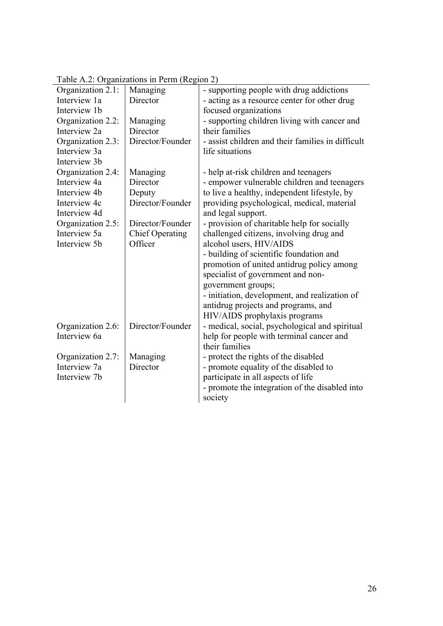|                   | rabic A.2. Organizations in Ferm (Region 2) |                                                   |
|-------------------|---------------------------------------------|---------------------------------------------------|
| Organization 2.1: | Managing                                    | - supporting people with drug addictions          |
| Interview 1a      | Director                                    | - acting as a resource center for other drug      |
| Interview 1b      |                                             | focused organizations                             |
| Organization 2.2: | Managing                                    | - supporting children living with cancer and      |
| Interview 2a      | Director                                    | their families                                    |
| Organization 2.3: | Director/Founder                            | - assist children and their families in difficult |
| Interview 3a      |                                             | life situations                                   |
| Interview 3b      |                                             |                                                   |
| Organization 2.4: | Managing                                    | - help at-risk children and teenagers             |
| Interview 4a      | Director                                    | - empower vulnerable children and teenagers       |
| Interview 4b      | Deputy                                      | to live a healthy, independent lifestyle, by      |
| Interview 4c      | Director/Founder                            | providing psychological, medical, material        |
| Interview 4d      |                                             | and legal support.                                |
| Organization 2.5: | Director/Founder                            | - provision of charitable help for socially       |
| Interview 5a      | <b>Chief Operating</b>                      | challenged citizens, involving drug and           |
| Interview 5b      | Officer                                     | alcohol users, HIV/AIDS                           |
|                   |                                             | - building of scientific foundation and           |
|                   |                                             | promotion of united antidrug policy among         |
|                   |                                             | specialist of government and non-                 |
|                   |                                             | government groups;                                |
|                   |                                             | - initiation, development, and realization of     |
|                   |                                             | antidrug projects and programs, and               |
|                   |                                             | HIV/AIDS prophylaxis programs                     |
| Organization 2.6: | Director/Founder                            | - medical, social, psychological and spiritual    |
| Interview 6a      |                                             | help for people with terminal cancer and          |
|                   |                                             | their families                                    |
| Organization 2.7: | Managing                                    | - protect the rights of the disabled              |
| Interview 7a      | Director                                    | - promote equality of the disabled to             |
| Interview 7b      |                                             | participate in all aspects of life                |
|                   |                                             | - promote the integration of the disabled into    |
|                   |                                             | society                                           |

Table A.2: Organizations in Perm (Region 2)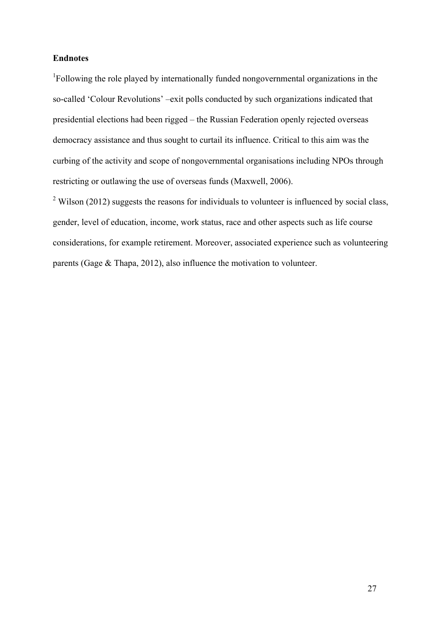# **Endnotes**

<sup>1</sup>Following the role played by internationally funded nongovernmental organizations in the so-called 'Colour Revolutions' –exit polls conducted by such organizations indicated that presidential elections had been rigged – the Russian Federation openly rejected overseas democracy assistance and thus sought to curtail its influence. Critical to this aim was the curbing of the activity and scope of nongovernmental organisations including NPOs through restricting or outlawing the use of overseas funds (Maxwell, 2006).

 $2$  Wilson (2012) suggests the reasons for individuals to volunteer is influenced by social class, gender, level of education, income, work status, race and other aspects such as life course considerations, for example retirement. Moreover, associated experience such as volunteering parents (Gage & Thapa, 2012), also influence the motivation to volunteer.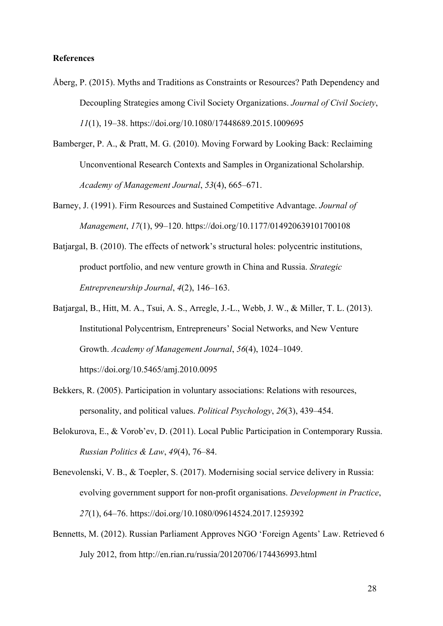## **References**

- Åberg, P. (2015). Myths and Traditions as Constraints or Resources? Path Dependency and Decoupling Strategies among Civil Society Organizations. *Journal of Civil Society*, *11*(1), 19–38. https://doi.org/10.1080/17448689.2015.1009695
- Bamberger, P. A., & Pratt, M. G. (2010). Moving Forward by Looking Back: Reclaiming Unconventional Research Contexts and Samples in Organizational Scholarship. *Academy of Management Journal*, *53*(4), 665–671.
- Barney, J. (1991). Firm Resources and Sustained Competitive Advantage. *Journal of Management*, *17*(1), 99–120. https://doi.org/10.1177/014920639101700108
- Batjargal, B. (2010). The effects of network's structural holes: polycentric institutions, product portfolio, and new venture growth in China and Russia. *Strategic Entrepreneurship Journal*, *4*(2), 146–163.
- Batjargal, B., Hitt, M. A., Tsui, A. S., Arregle, J.-L., Webb, J. W., & Miller, T. L. (2013). Institutional Polycentrism, Entrepreneurs' Social Networks, and New Venture Growth. *Academy of Management Journal*, *56*(4), 1024–1049. https://doi.org/10.5465/amj.2010.0095
- Bekkers, R. (2005). Participation in voluntary associations: Relations with resources, personality, and political values. *Political Psychology*, *26*(3), 439–454.
- Belokurova, E., & Vorob'ev, D. (2011). Local Public Participation in Contemporary Russia. *Russian Politics & Law*, *49*(4), 76–84.
- Benevolenski, V. B., & Toepler, S. (2017). Modernising social service delivery in Russia: evolving government support for non-profit organisations. *Development in Practice*, *27*(1), 64–76. https://doi.org/10.1080/09614524.2017.1259392
- Bennetts, M. (2012). Russian Parliament Approves NGO 'Foreign Agents' Law. Retrieved 6 July 2012, from http://en.rian.ru/russia/20120706/174436993.html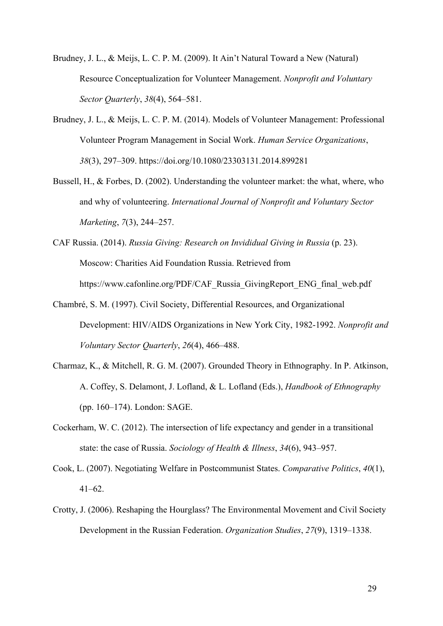Brudney, J. L., & Meijs, L. C. P. M. (2009). It Ain't Natural Toward a New (Natural) Resource Conceptualization for Volunteer Management. *Nonprofit and Voluntary Sector Quarterly*, *38*(4), 564–581.

- Brudney, J. L., & Meijs, L. C. P. M. (2014). Models of Volunteer Management: Professional Volunteer Program Management in Social Work. *Human Service Organizations*, *38*(3), 297–309. https://doi.org/10.1080/23303131.2014.899281
- Bussell, H., & Forbes, D. (2002). Understanding the volunteer market: the what, where, who and why of volunteering. *International Journal of Nonprofit and Voluntary Sector Marketing*, *7*(3), 244–257.
- CAF Russia. (2014). *Russia Giving: Research on Invididual Giving in Russia* (p. 23). Moscow: Charities Aid Foundation Russia. Retrieved from https://www.cafonline.org/PDF/CAF\_Russia\_GivingReport\_ENG\_final\_web.pdf
- Chambré, S. M. (1997). Civil Society, Differential Resources, and Organizational Development: HIV/AIDS Organizations in New York City, 1982-1992. *Nonprofit and Voluntary Sector Quarterly*, *26*(4), 466–488.
- Charmaz, K., & Mitchell, R. G. M. (2007). Grounded Theory in Ethnography. In P. Atkinson, A. Coffey, S. Delamont, J. Lofland, & L. Lofland (Eds.), *Handbook of Ethnography* (pp. 160–174). London: SAGE.
- Cockerham, W. C. (2012). The intersection of life expectancy and gender in a transitional state: the case of Russia. *Sociology of Health & Illness*, *34*(6), 943–957.
- Cook, L. (2007). Negotiating Welfare in Postcommunist States. *Comparative Politics*, *40*(1), 41–62.
- Crotty, J. (2006). Reshaping the Hourglass? The Environmental Movement and Civil Society Development in the Russian Federation. *Organization Studies*, *27*(9), 1319–1338.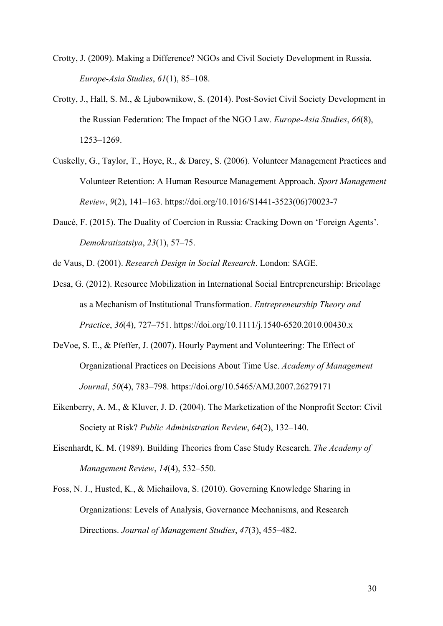- Crotty, J. (2009). Making a Difference? NGOs and Civil Society Development in Russia. *Europe-Asia Studies*, *61*(1), 85–108.
- Crotty, J., Hall, S. M., & Ljubownikow, S. (2014). Post-Soviet Civil Society Development in the Russian Federation: The Impact of the NGO Law. *Europe-Asia Studies*, *66*(8), 1253–1269.
- Cuskelly, G., Taylor, T., Hoye, R., & Darcy, S. (2006). Volunteer Management Practices and Volunteer Retention: A Human Resource Management Approach. *Sport Management Review*, *9*(2), 141–163. https://doi.org/10.1016/S1441-3523(06)70023-7
- Daucé, F. (2015). The Duality of Coercion in Russia: Cracking Down on 'Foreign Agents'. *Demokratizatsiya*, *23*(1), 57–75.
- de Vaus, D. (2001). *Research Design in Social Research*. London: SAGE.
- Desa, G. (2012). Resource Mobilization in International Social Entrepreneurship: Bricolage as a Mechanism of Institutional Transformation. *Entrepreneurship Theory and Practice*, *36*(4), 727–751. https://doi.org/10.1111/j.1540-6520.2010.00430.x
- DeVoe, S. E., & Pfeffer, J. (2007). Hourly Payment and Volunteering: The Effect of Organizational Practices on Decisions About Time Use. *Academy of Management Journal*, *50*(4), 783–798. https://doi.org/10.5465/AMJ.2007.26279171
- Eikenberry, A. M., & Kluver, J. D. (2004). The Marketization of the Nonprofit Sector: Civil Society at Risk? *Public Administration Review*, *64*(2), 132–140.
- Eisenhardt, K. M. (1989). Building Theories from Case Study Research. *The Academy of Management Review*, *14*(4), 532–550.
- Foss, N. J., Husted, K., & Michailova, S. (2010). Governing Knowledge Sharing in Organizations: Levels of Analysis, Governance Mechanisms, and Research Directions. *Journal of Management Studies*, *47*(3), 455–482.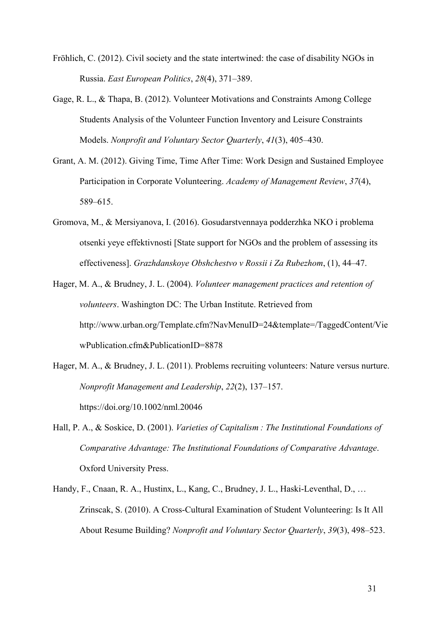- Fröhlich, C. (2012). Civil society and the state intertwined: the case of disability NGOs in Russia. *East European Politics*, *28*(4), 371–389.
- Gage, R. L., & Thapa, B. (2012). Volunteer Motivations and Constraints Among College Students Analysis of the Volunteer Function Inventory and Leisure Constraints Models. *Nonprofit and Voluntary Sector Quarterly*, *41*(3), 405–430.
- Grant, A. M. (2012). Giving Time, Time After Time: Work Design and Sustained Employee Participation in Corporate Volunteering. *Academy of Management Review*, *37*(4), 589–615.
- Gromova, M., & Mersiyanova, I. (2016). Gosudarstvennaya podderzhka NKO i problema otsenki yeye effektivnosti [State support for NGOs and the problem of assessing its effectiveness]. *Grazhdanskoye Obshchestvo v Rossii i Za Rubezhom*, (1), 44–47.
- Hager, M. A., & Brudney, J. L. (2004). *Volunteer management practices and retention of volunteers*. Washington DC: The Urban Institute. Retrieved from http://www.urban.org/Template.cfm?NavMenuID=24&template=/TaggedContent/Vie wPublication.cfm&PublicationID=8878
- Hager, M. A., & Brudney, J. L. (2011). Problems recruiting volunteers: Nature versus nurture. *Nonprofit Management and Leadership*, *22*(2), 137–157. https://doi.org/10.1002/nml.20046
- Hall, P. A., & Soskice, D. (2001). *Varieties of Capitalism : The Institutional Foundations of Comparative Advantage: The Institutional Foundations of Comparative Advantage*. Oxford University Press.
- Handy, F., Cnaan, R. A., Hustinx, L., Kang, C., Brudney, J. L., Haski-Leventhal, D., … Zrinscak, S. (2010). A Cross-Cultural Examination of Student Volunteering: Is It All About Resume Building? *Nonprofit and Voluntary Sector Quarterly*, *39*(3), 498–523.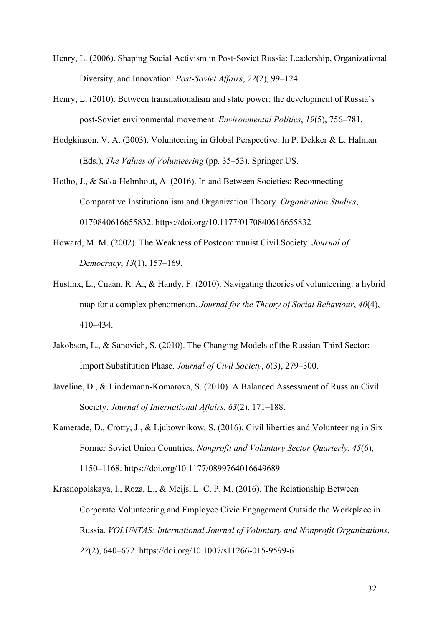- Henry, L. (2006). Shaping Social Activism in Post-Soviet Russia: Leadership, Organizational Diversity, and Innovation. *Post-Soviet Affairs*, *22*(2), 99–124.
- Henry, L. (2010). Between transnationalism and state power: the development of Russia's post-Soviet environmental movement. *Environmental Politics*, *19*(5), 756–781.
- Hodgkinson, V. A. (2003). Volunteering in Global Perspective. In P. Dekker & L. Halman (Eds.), *The Values of Volunteering* (pp. 35–53). Springer US.
- Hotho, J., & Saka-Helmhout, A. (2016). In and Between Societies: Reconnecting Comparative Institutionalism and Organization Theory. *Organization Studies*, 0170840616655832. https://doi.org/10.1177/0170840616655832
- Howard, M. M. (2002). The Weakness of Postcommunist Civil Society. *Journal of Democracy*, *13*(1), 157–169.
- Hustinx, L., Cnaan, R. A., & Handy, F. (2010). Navigating theories of volunteering: a hybrid map for a complex phenomenon. *Journal for the Theory of Social Behaviour*, *40*(4), 410–434.
- Jakobson, L., & Sanovich, S. (2010). The Changing Models of the Russian Third Sector: Import Substitution Phase. *Journal of Civil Society*, *6*(3), 279–300.
- Javeline, D., & Lindemann-Komarova, S. (2010). A Balanced Assessment of Russian Civil Society. *Journal of International Affairs*, *63*(2), 171–188.
- Kamerade, D., Crotty, J., & Ljubownikow, S. (2016). Civil liberties and Volunteering in Six Former Soviet Union Countries. *Nonprofit and Voluntary Sector Quarterly*, *45*(6), 1150–1168. https://doi.org/10.1177/0899764016649689
- Krasnopolskaya, I., Roza, L., & Meijs, L. C. P. M. (2016). The Relationship Between Corporate Volunteering and Employee Civic Engagement Outside the Workplace in Russia. *VOLUNTAS: International Journal of Voluntary and Nonprofit Organizations*, *27*(2), 640–672. https://doi.org/10.1007/s11266-015-9599-6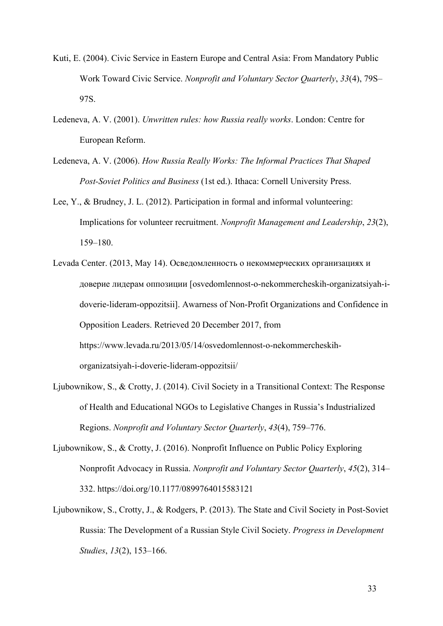- Kuti, E. (2004). Civic Service in Eastern Europe and Central Asia: From Mandatory Public Work Toward Civic Service. *Nonprofit and Voluntary Sector Quarterly*, *33*(4), 79S– 97S.
- Ledeneva, A. V. (2001). *Unwritten rules: how Russia really works*. London: Centre for European Reform.
- Ledeneva, A. V. (2006). *How Russia Really Works: The Informal Practices That Shaped Post-Soviet Politics and Business* (1st ed.). Ithaca: Cornell University Press.
- Lee, Y., & Brudney, J. L. (2012). Participation in formal and informal volunteering: Implications for volunteer recruitment. *Nonprofit Management and Leadership*, *23*(2), 159–180.
- Levada Center. (2013, May 14). Осведомленность о некоммерческих организациях и доверие лидерам оппозиции [osvedomlennost-o-nekommercheskih-organizatsiyah-idoverie-lideram-oppozitsii]. Awarness of Non-Profit Organizations and Confidence in Opposition Leaders. Retrieved 20 December 2017, from https://www.levada.ru/2013/05/14/osvedomlennost-o-nekommercheskihorganizatsiyah-i-doverie-lideram-oppozitsii/
- Ljubownikow, S., & Crotty, J. (2014). Civil Society in a Transitional Context: The Response of Health and Educational NGOs to Legislative Changes in Russia's Industrialized Regions. *Nonprofit and Voluntary Sector Quarterly*, *43*(4), 759–776.
- Ljubownikow, S., & Crotty, J. (2016). Nonprofit Influence on Public Policy Exploring Nonprofit Advocacy in Russia. *Nonprofit and Voluntary Sector Quarterly*, *45*(2), 314– 332. https://doi.org/10.1177/0899764015583121
- Ljubownikow, S., Crotty, J., & Rodgers, P. (2013). The State and Civil Society in Post-Soviet Russia: The Development of a Russian Style Civil Society. *Progress in Development Studies*, *13*(2), 153–166.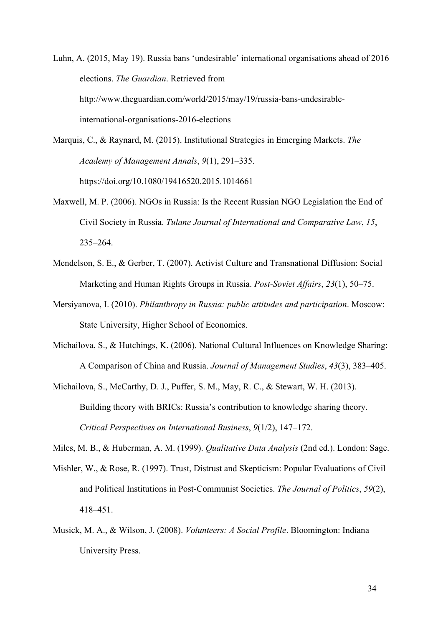Luhn, A. (2015, May 19). Russia bans 'undesirable' international organisations ahead of 2016 elections. *The Guardian*. Retrieved from http://www.theguardian.com/world/2015/may/19/russia-bans-undesirableinternational-organisations-2016-elections

- Marquis, C., & Raynard, M. (2015). Institutional Strategies in Emerging Markets. *The Academy of Management Annals*, *9*(1), 291–335. https://doi.org/10.1080/19416520.2015.1014661
- Maxwell, M. P. (2006). NGOs in Russia: Is the Recent Russian NGO Legislation the End of Civil Society in Russia. *Tulane Journal of International and Comparative Law*, *15*, 235–264.
- Mendelson, S. E., & Gerber, T. (2007). Activist Culture and Transnational Diffusion: Social Marketing and Human Rights Groups in Russia. *Post-Soviet Affairs*, *23*(1), 50–75.
- Mersiyanova, I. (2010). *Philanthropy in Russia: public attitudes and participation*. Moscow: State University, Higher School of Economics.
- Michailova, S., & Hutchings, K. (2006). National Cultural Influences on Knowledge Sharing: A Comparison of China and Russia. *Journal of Management Studies*, *43*(3), 383–405.

Michailova, S., McCarthy, D. J., Puffer, S. M., May, R. C., & Stewart, W. H. (2013). Building theory with BRICs: Russia's contribution to knowledge sharing theory. *Critical Perspectives on International Business*, *9*(1/2), 147–172.

Miles, M. B., & Huberman, A. M. (1999). *Qualitative Data Analysis* (2nd ed.). London: Sage.

- Mishler, W., & Rose, R. (1997). Trust, Distrust and Skepticism: Popular Evaluations of Civil and Political Institutions in Post-Communist Societies. *The Journal of Politics*, *59*(2), 418–451.
- Musick, M. A., & Wilson, J. (2008). *Volunteers: A Social Profile*. Bloomington: Indiana University Press.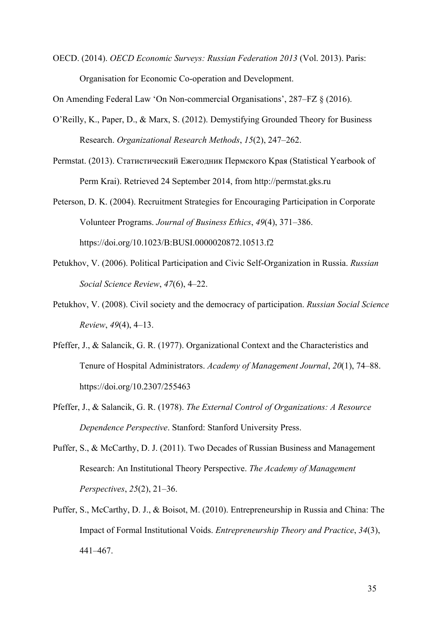OECD. (2014). *OECD Economic Surveys: Russian Federation 2013* (Vol. 2013). Paris: Organisation for Economic Co-operation and Development.

On Amending Federal Law 'On Non-commercial Organisations', 287–FZ § (2016).

- O'Reilly, K., Paper, D., & Marx, S. (2012). Demystifying Grounded Theory for Business Research. *Organizational Research Methods*, *15*(2), 247–262.
- Permstat. (2013). Статистический Eжегодник Пермского Kрая (Statistical Yearbook of Perm Krai). Retrieved 24 September 2014, from http://permstat.gks.ru
- Peterson, D. K. (2004). Recruitment Strategies for Encouraging Participation in Corporate Volunteer Programs. *Journal of Business Ethics*, *49*(4), 371–386. https://doi.org/10.1023/B:BUSI.0000020872.10513.f2
- Petukhov, V. (2006). Political Participation and Civic Self-Organization in Russia. *Russian Social Science Review*, *47*(6), 4–22.
- Petukhov, V. (2008). Civil society and the democracy of participation. *Russian Social Science Review*, *49*(4), 4–13.
- Pfeffer, J., & Salancik, G. R. (1977). Organizational Context and the Characteristics and Tenure of Hospital Administrators. *Academy of Management Journal*, *20*(1), 74–88. https://doi.org/10.2307/255463
- Pfeffer, J., & Salancik, G. R. (1978). *The External Control of Organizations: A Resource Dependence Perspective*. Stanford: Stanford University Press.
- Puffer, S., & McCarthy, D. J. (2011). Two Decades of Russian Business and Management Research: An Institutional Theory Perspective. *The Academy of Management Perspectives*, *25*(2), 21–36.
- Puffer, S., McCarthy, D. J., & Boisot, M. (2010). Entrepreneurship in Russia and China: The Impact of Formal Institutional Voids. *Entrepreneurship Theory and Practice*, *34*(3), 441–467.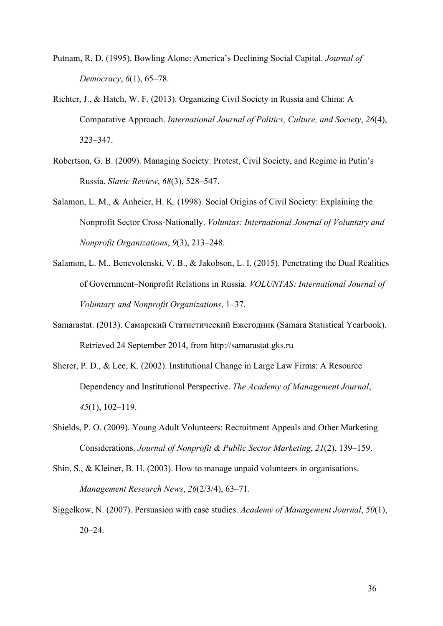- Putnam, R. D. (1995). Bowling Alone: America's Declining Social Capital. *Journal of Democracy*, *6*(1), 65–78.
- Richter, J., & Hatch, W. F. (2013). Organizing Civil Society in Russia and China: A Comparative Approach. *International Journal of Politics, Culture, and Society*, *26*(4), 323–347.
- Robertson, G. B. (2009). Managing Society: Protest, Civil Society, and Regime in Putin's Russia. *Slavic Review*, *68*(3), 528–547.
- Salamon, L. M., & Anheier, H. K. (1998). Social Origins of Civil Society: Explaining the Nonprofit Sector Cross-Nationally. *Voluntas: International Journal of Voluntary and Nonprofit Organizations*, *9*(3), 213–248.
- Salamon, L. M., Benevolenski, V. B., & Jakobson, L. I. (2015). Penetrating the Dual Realities of Government–Nonprofit Relations in Russia. *VOLUNTAS: International Journal of Voluntary and Nonprofit Organizations*, 1–37.
- Samarastat. (2013). Самарский Cтатистический Eжегодник (Samara Statistical Yearbook). Retrieved 24 September 2014, from http://samarastat.gks.ru
- Sherer, P. D., & Lee, K. (2002). Institutional Change in Large Law Firms: A Resource Dependency and Institutional Perspective. *The Academy of Management Journal*, *45*(1), 102–119.
- Shields, P. O. (2009). Young Adult Volunteers: Recruitment Appeals and Other Marketing Considerations. *Journal of Nonprofit & Public Sector Marketing*, *21*(2), 139–159.
- Shin, S., & Kleiner, B. H. (2003). How to manage unpaid volunteers in organisations. *Management Research News*, *26*(2/3/4), 63–71.
- Siggelkow, N. (2007). Persuasion with case studies. *Academy of Management Journal*, *50*(1),  $20 - 24$ .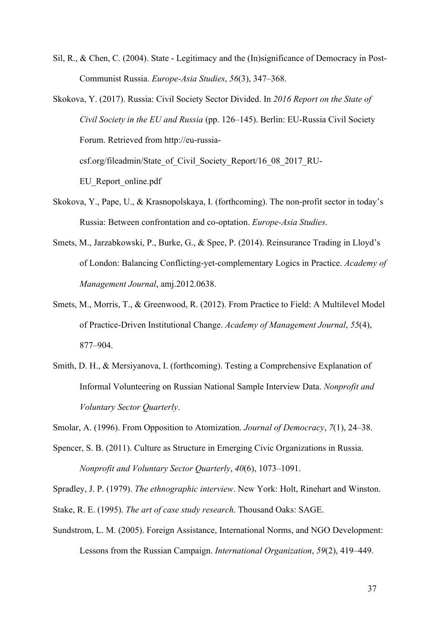Sil, R., & Chen, C. (2004). State - Legitimacy and the (In)significance of Democracy in Post-Communist Russia. *Europe-Asia Studies*, *56*(3), 347–368.

Skokova, Y. (2017). Russia: Civil Society Sector Divided. In *2016 Report on the State of Civil Society in the EU and Russia* (pp. 126–145). Berlin: EU-Russia Civil Society Forum. Retrieved from http://eu-russiacsf.org/fileadmin/State\_of\_Civil\_Society\_Report/16\_08\_2017\_RU-EU\_Report\_online.pdf

- Skokova, Y., Pape, U., & Krasnopolskaya, I. (forthcoming). The non-profit sector in today's Russia: Between confrontation and co-optation. *Europe-Asia Studies*.
- Smets, M., Jarzabkowski, P., Burke, G., & Spee, P. (2014). Reinsurance Trading in Lloyd's of London: Balancing Conflicting-yet-complementary Logics in Practice. *Academy of Management Journal*, amj.2012.0638.
- Smets, M., Morris, T., & Greenwood, R. (2012). From Practice to Field: A Multilevel Model of Practice-Driven Institutional Change. *Academy of Management Journal*, *55*(4), 877–904.
- Smith, D. H., & Mersiyanova, I. (forthcoming). Testing a Comprehensive Explanation of Informal Volunteering on Russian National Sample Interview Data. *Nonprofit and Voluntary Sector Quarterly*.

Smolar, A. (1996). From Opposition to Atomization. *Journal of Democracy*, *7*(1), 24–38.

Spencer, S. B. (2011). Culture as Structure in Emerging Civic Organizations in Russia. *Nonprofit and Voluntary Sector Quarterly*, *40*(6), 1073–1091.

Spradley, J. P. (1979). *The ethnographic interview*. New York: Holt, Rinehart and Winston.

- Stake, R. E. (1995). *The art of case study research*. Thousand Oaks: SAGE.
- Sundstrom, L. M. (2005). Foreign Assistance, International Norms, and NGO Development: Lessons from the Russian Campaign. *International Organization*, *59*(2), 419–449.